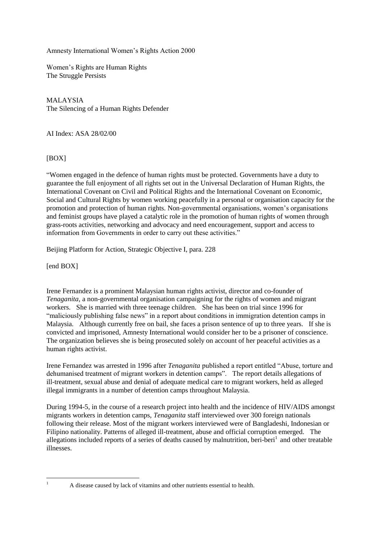Amnesty International Women's Rights Action 2000

Women's Rights are Human Rights The Struggle Persists

MALAYSIA The Silencing of a Human Rights Defender

AI Index: ASA 28/02/00

## [BOX]

"Women engaged in the defence of human rights must be protected. Governments have a duty to guarantee the full enjoyment of all rights set out in the Universal Declaration of Human Rights, the International Covenant on Civil and Political Rights and the International Covenant on Economic, Social and Cultural Rights by women working peacefully in a personal or organisation capacity for the promotion and protection of human rights. Non-governmental organisations, women's organisations and feminist groups have played a catalytic role in the promotion of human rights of women through grass-roots activities, networking and advocacy and need encouragement, support and access to information from Governments in order to carry out these activities."

Beijing Platform for Action, Strategic Objective I, para. 228

[end BOX]

Irene Fernandez is a prominent Malaysian human rights activist, director and co-founder of *Tenaganita,* a non-governmental organisation campaigning for the rights of women and migrant workers. She is married with three teenage children. She has been on trial since 1996 for "maliciously publishing false news" in a report about conditions in immigration detention camps in Malaysia. Although currently free on bail, she faces a prison sentence of up to three years. If she is convicted and imprisoned, Amnesty International would consider her to be a prisoner of conscience. The organization believes she is being prosecuted solely on account of her peaceful activities as a human rights activist.

Irene Fernandez was arrested in 1996 after *Tenaganita* published a report entitled "Abuse, torture and dehumanised treatment of migrant workers in detention camps". The report details allegations of ill-treatment, sexual abuse and denial of adequate medical care to migrant workers, held as alleged illegal immigrants in a number of detention camps throughout Malaysia.

During 1994-5, in the course of a research project into health and the incidence of HIV/AIDS amongst migrants workers in detention camps, *Tenaganita* staff interviewed over 300 foreign nationals following their release. Most of the migrant workers interviewed were of Bangladeshi, Indonesian or Filipino nationality. Patterns of alleged ill-treatment, abuse and official corruption emerged. The allegations included reports of a series of deaths caused by malnutrition, beri-beri<sup>1</sup> and other treatable illnesses.

 $\bar{1}$ 

<sup>1</sup> A disease caused by lack of vitamins and other nutrients essential to health.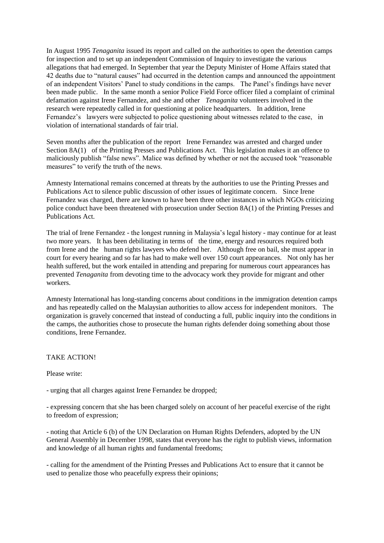In August 1995 *Tenaganita* issued its report and called on the authorities to open the detention camps for inspection and to set up an independent Commission of Inquiry to investigate the various allegations that had emerged. In September that year the Deputy Minister of Home Affairs stated that 42 deaths due to "natural causes" had occurred in the detention camps and announced the appointment of an independent Visitors' Panel to study conditions in the camps. The Panel's findings have never been made public. In the same month a senior Police Field Force officer filed a complaint of criminal defamation against Irene Fernandez, and she and other *Tenaganita* volunteers involved in the research were repeatedly called in for questioning at police headquarters. In addition, Irene Fernandez's lawyers were subjected to police questioning about witnesses related to the case, in violation of international standards of fair trial.

Seven months after the publication of the report Irene Fernandez was arrested and charged under Section 8A(1) of the Printing Presses and Publications Act. This legislation makes it an offence to maliciously publish "false news". Malice was defined by whether or not the accused took "reasonable measures" to verify the truth of the news.

Amnesty International remains concerned at threats by the authorities to use the Printing Presses and Publications Act to silence public discussion of other issues of legitimate concern. Since Irene Fernandez was charged, there are known to have been three other instances in which NGOs criticizing police conduct have been threatened with prosecution under Section 8A(1) of the Printing Presses and Publications Act.

The trial of Irene Fernandez - the longest running in Malaysia's legal history - may continue for at least two more years. It has been debilitating in terms of the time, energy and resources required both from Irene and the human rights lawyers who defend her. Although free on bail, she must appear in court for every hearing and so far has had to make well over 150 court appearances. Not only has her health suffered, but the work entailed in attending and preparing for numerous court appearances has prevented *Tenaganita* from devoting time to the advocacy work they provide for migrant and other workers.

Amnesty International has long-standing concerns about conditions in the immigration detention camps and has repeatedly called on the Malaysian authorities to allow access for independent monitors. The organization is gravely concerned that instead of conducting a full, public inquiry into the conditions in the camps, the authorities chose to prosecute the human rights defender doing something about those conditions, Irene Fernandez.

TAKE ACTION!

Please write:

- urging that all charges against Irene Fernandez be dropped;

- expressing concern that she has been charged solely on account of her peaceful exercise of the right to freedom of expression;

- noting that Article 6 (b) of the UN Declaration on Human Rights Defenders, adopted by the UN General Assembly in December 1998, states that everyone has the right to publish views, information and knowledge of all human rights and fundamental freedoms;

- calling for the amendment of the Printing Presses and Publications Act to ensure that it cannot be used to penalize those who peacefully express their opinions;